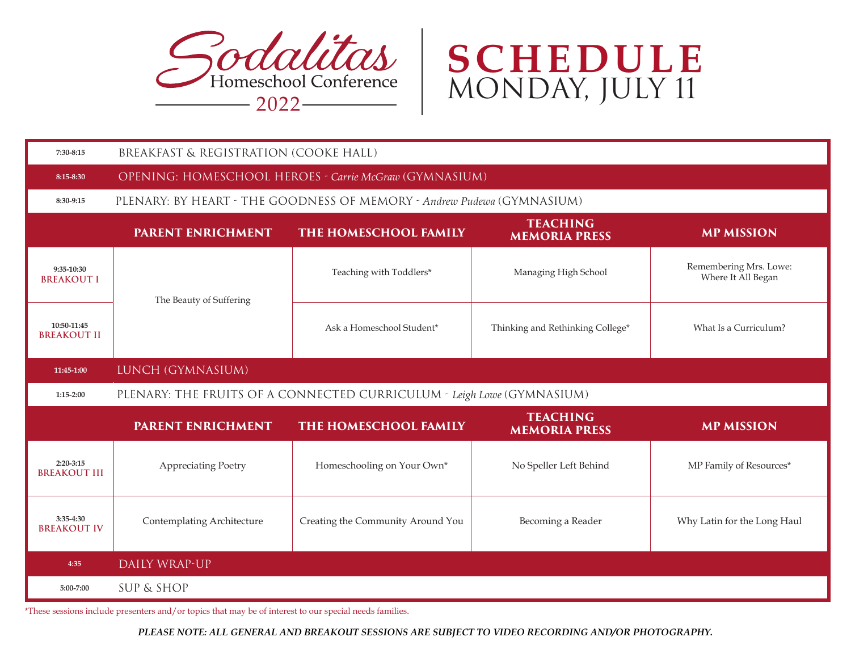



| 7:30-8:15                          | BREAKFAST & REGISTRATION (COOKE HALL)                                  |                                   |                                         |                                              |  |  |  |  |
|------------------------------------|------------------------------------------------------------------------|-----------------------------------|-----------------------------------------|----------------------------------------------|--|--|--|--|
| 8:15-8:30                          | OPENING: HOMESCHOOL HEROES - Carrie McGraw (GYMNASIUM)                 |                                   |                                         |                                              |  |  |  |  |
| 8:30-9:15                          | PLENARY: BY HEART - THE GOODNESS OF MEMORY - Andrew Pudewa (GYMNASIUM) |                                   |                                         |                                              |  |  |  |  |
|                                    | <b>PARENT ENRICHMENT</b>                                               | THE HOMESCHOOL FAMILY             | <b>TEACHING</b><br><b>MEMORIA PRESS</b> | <b>MP MISSION</b>                            |  |  |  |  |
| 9:35-10:30<br><b>BREAKOUT I</b>    | The Beauty of Suffering                                                | Teaching with Toddlers*           | Managing High School                    | Remembering Mrs. Lowe:<br>Where It All Began |  |  |  |  |
| 10:50-11:45<br><b>BREAKOUT II</b>  |                                                                        | Ask a Homeschool Student*         | Thinking and Rethinking College*        | What Is a Curriculum?                        |  |  |  |  |
| 11:45-1:00                         | LUNCH (GYMNASIUM)                                                      |                                   |                                         |                                              |  |  |  |  |
| 1:15-2:00                          | PLENARY: THE FRUITS OF A CONNECTED CURRICULUM - Leigh Lowe (GYMNASIUM) |                                   |                                         |                                              |  |  |  |  |
|                                    | <b>PARENT ENRICHMENT</b>                                               | THE HOMESCHOOL FAMILY             | <b>TEACHING</b><br><b>MEMORIA PRESS</b> | <b>MP MISSION</b>                            |  |  |  |  |
| $2:20-3:15$<br><b>BREAKOUT III</b> | Appreciating Poetry                                                    | Homeschooling on Your Own*        | No Speller Left Behind                  | MP Family of Resources*                      |  |  |  |  |
| 3:35-4:30<br><b>BREAKOUT IV</b>    | Contemplating Architecture                                             | Creating the Community Around You | Becoming a Reader                       | Why Latin for the Long Haul                  |  |  |  |  |
| 4:35                               | DAILY WRAP-UP                                                          |                                   |                                         |                                              |  |  |  |  |
| 5:00-7:00                          | <b>SUP &amp; SHOP</b>                                                  |                                   |                                         |                                              |  |  |  |  |

\*These sessions include presenters and/or topics that may be of interest to our special needs families.

*PLEASE NOTE: ALL GENERAL AND BREAKOUT SESSIONS ARE SUBJECT TO VIDEO RECORDING AND/OR PHOTOGRAPHY.*